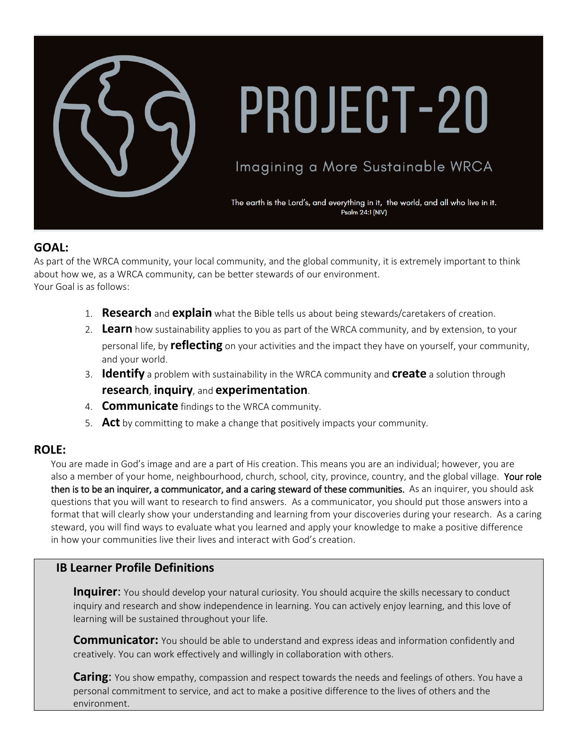

# PROJECT-20

# Imagining a More Sustainable WRCA

The earth is the Lord's, and everything in it, the world, and all who live in it. Psalm 24:1 (NIV)

#### **GOAL:**

As part of the WRCA community, your local community, and the global community, it is extremely important to think about how we, as a WRCA community, can be better stewards of our environment. Your Goal is as follows:

- 1. **Research** and **explain** what the Bible tells us about being stewards/caretakers of creation.
- 2. **Learn** how sustainability applies to you as part of the WRCA community, and by extension, to your personal life, by **reflecting** on your activities and the impact they have on yourself, your community, and your world.
- 3. **Identify** a problem with sustainability in the WRCA community and **create** a solution through **research**, **inquiry**, and **experimentation**.
- 4. **Communicate** findings to the WRCA community.
- 5. **Act** by committing to make a change that positively impacts your community.

#### **ROLE:**

You are made in God's image and are a part of His creation. This means you are an individual; however, you are also a member of your home, neighbourhood, church, school, city, province, country, and the global village. Your role then is to be an inquirer, a communicator, and a caring steward of these communities. As an inquirer, you should ask questions that you will want to research to find answers. As a communicator, you should put those answers into a format that will clearly show your understanding and learning from your discoveries during your research. As a caring steward, you will find ways to evaluate what you learned and apply your knowledge to make a positive difference in how your communities live their lives and interact with God's creation.

#### **IB Learner Profile Definitions**

**Inquirer:** You should develop your natural curiosity. You should acquire the skills necessary to conduct inquiry and research and show independence in learning. You can actively enjoy learning, and this love of learning will be sustained throughout your life.

**Communicator:** You should be able to understand and express ideas and information confidently and creatively. You can work effectively and willingly in collaboration with others.

**Caring**: You show empathy, compassion and respect towards the needs and feelings of others. You have a personal commitment to service, and act to make a positive difference to the lives of others and the environment.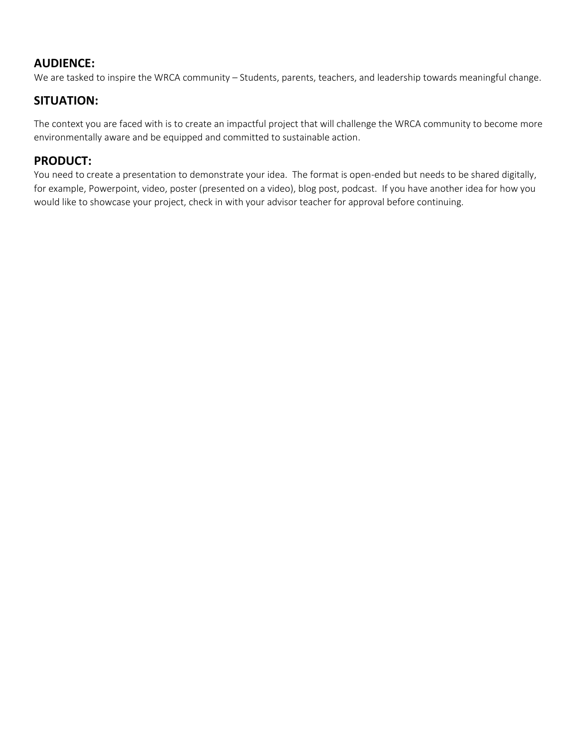# **AUDIENCE:**

We are tasked to inspire the WRCA community – Students, parents, teachers, and leadership towards meaningful change.

### **SITUATION:**

The context you are faced with is to create an impactful project that will challenge the WRCA community to become more environmentally aware and be equipped and committed to sustainable action.

## **PRODUCT:**

You need to create a presentation to demonstrate your idea. The format is open-ended but needs to be shared digitally, for example, Powerpoint, video, poster (presented on a video), blog post, podcast. If you have another idea for how you would like to showcase your project, check in with your advisor teacher for approval before continuing.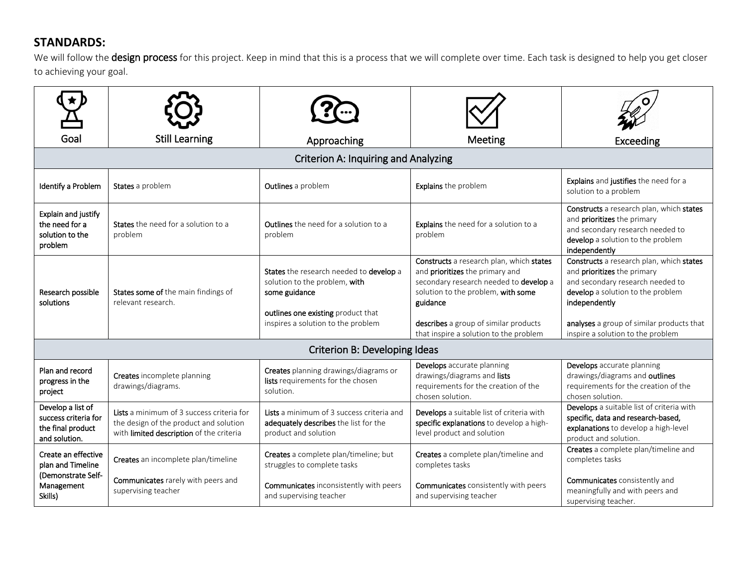# **STANDARDS:**

We will follow the design process for this project. Keep in mind that this is a process that we will complete over time. Each task is designed to help you get closer to achieving your goal.

| Goa                                                                             | <b>Still Learning</b>                                                                                                           | Approaching                                                                                                                                                           | Meeting                                                                                                                                                                                                                                                    | Exceeding                                                                                                                                                                                                                                           |  |  |  |
|---------------------------------------------------------------------------------|---------------------------------------------------------------------------------------------------------------------------------|-----------------------------------------------------------------------------------------------------------------------------------------------------------------------|------------------------------------------------------------------------------------------------------------------------------------------------------------------------------------------------------------------------------------------------------------|-----------------------------------------------------------------------------------------------------------------------------------------------------------------------------------------------------------------------------------------------------|--|--|--|
| <b>Criterion A: Inquiring and Analyzing</b>                                     |                                                                                                                                 |                                                                                                                                                                       |                                                                                                                                                                                                                                                            |                                                                                                                                                                                                                                                     |  |  |  |
| Identify a Problem                                                              | States a problem                                                                                                                | Outlines a problem                                                                                                                                                    | Explains the problem                                                                                                                                                                                                                                       | Explains and justifies the need for a<br>solution to a problem                                                                                                                                                                                      |  |  |  |
| Explain and justify<br>the need for a<br>solution to the<br>problem             | States the need for a solution to a<br>problem                                                                                  | <b>Outlines</b> the need for a solution to a<br>problem                                                                                                               | Explains the need for a solution to a<br>problem                                                                                                                                                                                                           | Constructs a research plan, which states<br>and prioritizes the primary<br>and secondary research needed to<br>develop a solution to the problem<br>independently                                                                                   |  |  |  |
| Research possible<br>solutions                                                  | States some of the main findings of<br>relevant research.                                                                       | States the research needed to develop a<br>solution to the problem, with<br>some guidance<br>outlines one existing product that<br>inspires a solution to the problem | Constructs a research plan, which states<br>and prioritizes the primary and<br>secondary research needed to develop a<br>solution to the problem, with some<br>guidance<br>describes a group of similar products<br>that inspire a solution to the problem | Constructs a research plan, which states<br>and prioritizes the primary<br>and secondary research needed to<br>develop a solution to the problem<br>independently<br>analyses a group of similar products that<br>inspire a solution to the problem |  |  |  |
| Criterion B: Developing Ideas                                                   |                                                                                                                                 |                                                                                                                                                                       |                                                                                                                                                                                                                                                            |                                                                                                                                                                                                                                                     |  |  |  |
| Plan and record<br>progress in the<br>project                                   | Creates incomplete planning<br>drawings/diagrams.                                                                               | Creates planning drawings/diagrams or<br>lists requirements for the chosen<br>solution.                                                                               | Develops accurate planning<br>drawings/diagrams and lists<br>requirements for the creation of the<br>chosen solution.                                                                                                                                      | Develops accurate planning<br>drawings/diagrams and outlines<br>requirements for the creation of the<br>chosen solution.                                                                                                                            |  |  |  |
| Develop a list of<br>success criteria for<br>the final product<br>and solution. | Lists a minimum of 3 success criteria for<br>the design of the product and solution<br>with limited description of the criteria | Lists a minimum of 3 success criteria and<br>adequately describes the list for the<br>product and solution                                                            | Develops a suitable list of criteria with<br>specific explanations to develop a high-<br>level product and solution                                                                                                                                        | Develops a suitable list of criteria with<br>specific, data and research-based,<br>explanations to develop a high-level<br>product and solution.                                                                                                    |  |  |  |
| Create an effective<br>plan and Timeline<br>(Demonstrate Self-                  | Creates an incomplete plan/timeline                                                                                             | Creates a complete plan/timeline; but<br>struggles to complete tasks                                                                                                  | Creates a complete plan/timeline and<br>completes tasks                                                                                                                                                                                                    | Creates a complete plan/timeline and<br>completes tasks                                                                                                                                                                                             |  |  |  |
| Management<br>Skills)                                                           | Communicates rarely with peers and<br>supervising teacher                                                                       | <b>Communicates</b> inconsistently with peers<br>and supervising teacher                                                                                              | <b>Communicates</b> consistently with peers<br>and supervising teacher                                                                                                                                                                                     | Communicates consistently and<br>meaningfully and with peers and<br>supervising teacher.                                                                                                                                                            |  |  |  |